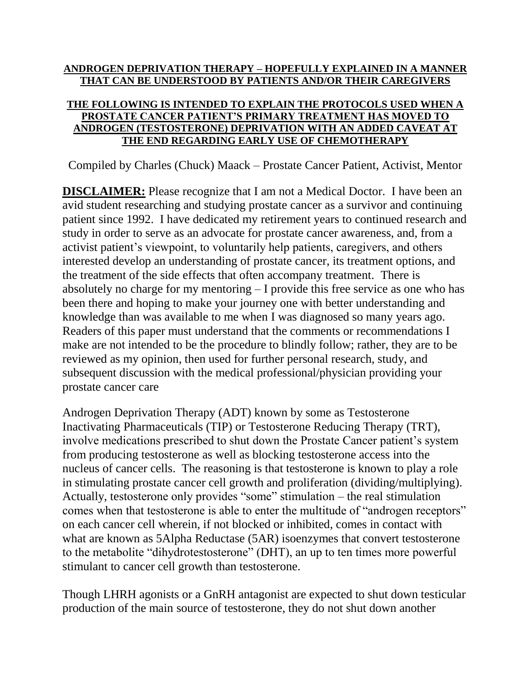## **ANDROGEN DEPRIVATION THERAPY – HOPEFULLY EXPLAINED IN A MANNER THAT CAN BE UNDERSTOOD BY PATIENTS AND/OR THEIR CAREGIVERS**

## **THE FOLLOWING IS INTENDED TO EXPLAIN THE PROTOCOLS USED WHEN A PROSTATE CANCER PATIENT'S PRIMARY TREATMENT HAS MOVED TO ANDROGEN (TESTOSTERONE) DEPRIVATION WITH AN ADDED CAVEAT AT THE END REGARDING EARLY USE OF CHEMOTHERAPY**

Compiled by Charles (Chuck) Maack – Prostate Cancer Patient, Activist, Mentor

**DISCLAIMER:** Please recognize that I am not a Medical Doctor. I have been an avid student researching and studying prostate cancer as a survivor and continuing patient since 1992. I have dedicated my retirement years to continued research and study in order to serve as an advocate for prostate cancer awareness, and, from a activist patient's viewpoint, to voluntarily help patients, caregivers, and others interested develop an understanding of prostate cancer, its treatment options, and the treatment of the side effects that often accompany treatment. There is absolutely no charge for my mentoring – I provide this free service as one who has been there and hoping to make your journey one with better understanding and knowledge than was available to me when I was diagnosed so many years ago. Readers of this paper must understand that the comments or recommendations I make are not intended to be the procedure to blindly follow; rather, they are to be reviewed as my opinion, then used for further personal research, study, and subsequent discussion with the medical professional/physician providing your prostate cancer care

Androgen Deprivation Therapy (ADT) known by some as Testosterone Inactivating Pharmaceuticals (TIP) or Testosterone Reducing Therapy (TRT), involve medications prescribed to shut down the Prostate Cancer patient's system from producing testosterone as well as blocking testosterone access into the nucleus of cancer cells. The reasoning is that testosterone is known to play a role in stimulating prostate cancer cell growth and proliferation (dividing/multiplying). Actually, testosterone only provides "some" stimulation – the real stimulation comes when that testosterone is able to enter the multitude of "androgen receptors" on each cancer cell wherein, if not blocked or inhibited, comes in contact with what are known as 5Alpha Reductase (5AR) isoenzymes that convert testosterone to the metabolite "dihydrotestosterone" (DHT), an up to ten times more powerful stimulant to cancer cell growth than testosterone.

Though LHRH agonists or a GnRH antagonist are expected to shut down testicular production of the main source of testosterone, they do not shut down another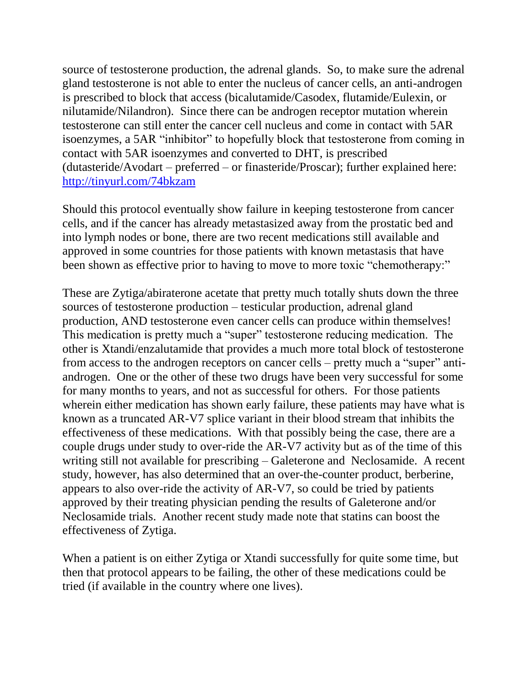source of testosterone production, the adrenal glands. So, to make sure the adrenal gland testosterone is not able to enter the nucleus of cancer cells, an anti-androgen is prescribed to block that access (bicalutamide/Casodex, flutamide/Eulexin, or nilutamide/Nilandron). Since there can be androgen receptor mutation wherein testosterone can still enter the cancer cell nucleus and come in contact with 5AR isoenzymes, a 5AR "inhibitor" to hopefully block that testosterone from coming in contact with 5AR isoenzymes and converted to DHT, is prescribed (dutasteride/Avodart – preferred – or finasteride/Proscar); further explained here: <http://tinyurl.com/74bkzam>

Should this protocol eventually show failure in keeping testosterone from cancer cells, and if the cancer has already metastasized away from the prostatic bed and into lymph nodes or bone, there are two recent medications still available and approved in some countries for those patients with known metastasis that have been shown as effective prior to having to move to more toxic "chemotherapy:"

These are Zytiga/abiraterone acetate that pretty much totally shuts down the three sources of testosterone production – testicular production, adrenal gland production, AND testosterone even cancer cells can produce within themselves! This medication is pretty much a "super" testosterone reducing medication. The other is Xtandi/enzalutamide that provides a much more total block of testosterone from access to the androgen receptors on cancer cells – pretty much a "super" antiandrogen. One or the other of these two drugs have been very successful for some for many months to years, and not as successful for others. For those patients wherein either medication has shown early failure, these patients may have what is known as a truncated AR-V7 splice variant in their blood stream that inhibits the effectiveness of these medications. With that possibly being the case, there are a couple drugs under study to over-ride the AR-V7 activity but as of the time of this writing still not available for prescribing – Galeterone and Neclosamide. A recent study, however, has also determined that an over-the-counter product, berberine, appears to also over-ride the activity of AR-V7, so could be tried by patients approved by their treating physician pending the results of Galeterone and/or Neclosamide trials. Another recent study made note that statins can boost the effectiveness of Zytiga.

When a patient is on either Zytiga or Xtandi successfully for quite some time, but then that protocol appears to be failing, the other of these medications could be tried (if available in the country where one lives).